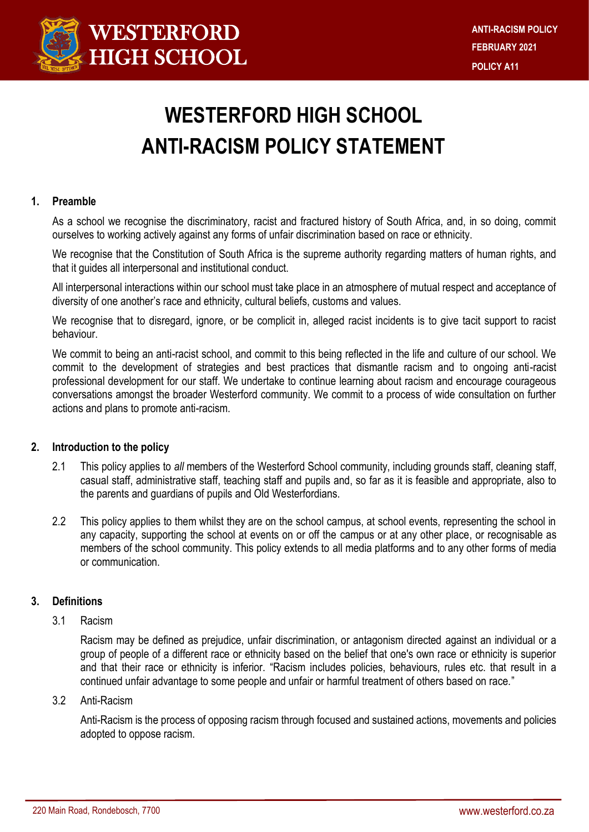

# **WESTERFORD HIGH SCHOOL ANTI-RACISM POLICY STATEMENT**

## **1. Preamble**

As a school we recognise the discriminatory, racist and fractured history of South Africa, and, in so doing, commit ourselves to working actively against any forms of unfair discrimination based on race or ethnicity.

We recognise that the Constitution of South Africa is the supreme authority regarding matters of human rights, and that it guides all interpersonal and institutional conduct.

All interpersonal interactions within our school must take place in an atmosphere of mutual respect and acceptance of diversity of one another's race and ethnicity, cultural beliefs, customs and values.

We recognise that to disregard, ignore, or be complicit in, alleged racist incidents is to give tacit support to racist behaviour.

We commit to being an anti-racist school, and commit to this being reflected in the life and culture of our school. We commit to the development of strategies and best practices that dismantle racism and to ongoing anti-racist professional development for our staff. We undertake to continue learning about racism and encourage courageous conversations amongst the broader Westerford community. We commit to a process of wide consultation on further actions and plans to promote anti-racism.

#### **2. Introduction to the policy**

- 2.1 This policy applies to *all* members of the Westerford School community, including grounds staff, cleaning staff, casual staff, administrative staff, teaching staff and pupils and, so far as it is feasible and appropriate, also to the parents and guardians of pupils and Old Westerfordians.
- 2.2 This policy applies to them whilst they are on the school campus, at school events, representing the school in any capacity, supporting the school at events on or off the campus or at any other place, or recognisable as members of the school community. This policy extends to all media platforms and to any other forms of media or communication.

# **3. Definitions**

3.1 Racism

Racism may be defined as prejudice, unfair discrimination, or antagonism directed against an individual or a group of people of a different race or ethnicity based on the belief that one's own race or ethnicity is superior and that their race or ethnicity is inferior. "Racism includes policies, behaviours, rules etc. that result in a continued unfair advantage to some people and unfair or harmful treatment of others based on race."

#### 3.2 Anti-Racism

Anti-Racism is the process of opposing racism through focused and sustained actions, movements and policies adopted to oppose racism.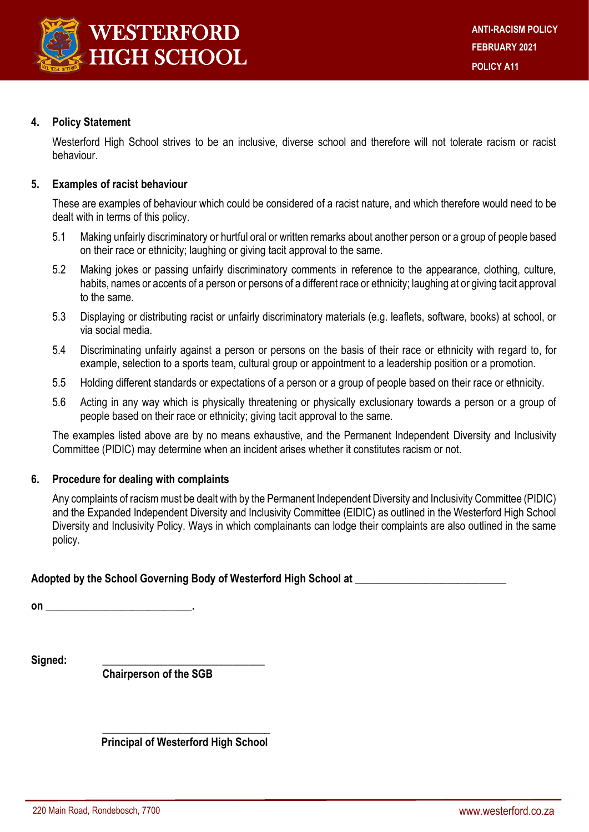

## **4. Policy Statement**

Westerford High School strives to be an inclusive, diverse school and therefore will not tolerate racism or racist behaviour.

## **5. Examples of racist behaviour**

These are examples of behaviour which could be considered of a racist nature, and which therefore would need to be dealt with in terms of this policy.

- 5.1 Making unfairly discriminatory or hurtful oral or written remarks about another person or a group of people based on their race or ethnicity; laughing or giving tacit approval to the same.
- 5.2 Making jokes or passing unfairly discriminatory comments in reference to the appearance, clothing, culture, habits, names or accents of a person or persons of a different race or ethnicity; laughing at or giving tacit approval to the same.
- 5.3 Displaying or distributing racist or unfairly discriminatory materials (e.g. leaflets, software, books) at school, or via social media.
- 5.4 Discriminating unfairly against a person or persons on the basis of their race or ethnicity with regard to, for example, selection to a sports team, cultural group or appointment to a leadership position or a promotion.
- 5.5 Holding different standards or expectations of a person or a group of people based on their race or ethnicity.
- 5.6 Acting in any way which is physically threatening or physically exclusionary towards a person or a group of people based on their race or ethnicity; giving tacit approval to the same.

The examples listed above are by no means exhaustive, and the Permanent Independent Diversity and Inclusivity Committee (PIDIC) may determine when an incident arises whether it constitutes racism or not.

#### **6. Procedure for dealing with complaints**

Any complaints of racism must be dealt with by the Permanent Independent Diversity and Inclusivity Committee (PIDIC) and the Expanded Independent Diversity and Inclusivity Committee (EIDIC) as outlined in the Westerford High School Diversity and Inclusivity Policy. Ways in which complainants can lodge their complaints are also outlined in the same policy.

**Adopted by the School Governing Body of Westerford High School at \_\_\_\_\_\_\_\_\_\_\_\_\_\_\_\_\_\_\_\_\_\_\_\_\_\_\_\_** 

**on \_\_\_\_\_\_\_\_\_\_\_\_\_\_\_\_\_\_\_\_\_\_\_\_\_\_\_.**

 $Signed:$ 

**Chairperson of the SGB**

**\_\_\_\_\_\_\_\_\_\_\_\_\_\_\_\_\_\_\_\_\_\_\_\_\_\_\_\_\_\_\_ Principal of Westerford High School**